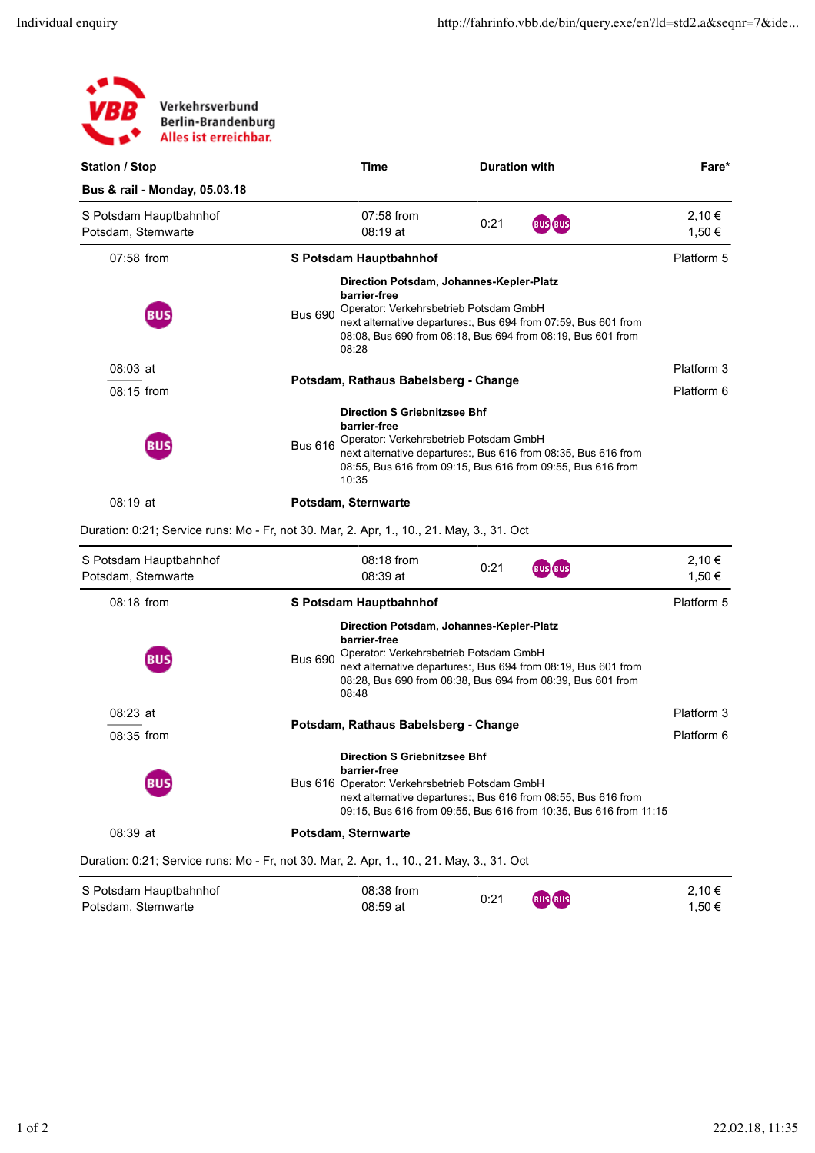| Verkehrsverbund<br>/BB<br><b>Berlin-Brandenburg</b><br>Alles ist erreichbar.              |                |                                                                                                             |                      |                                                                                                                                     |                          |  |  |
|-------------------------------------------------------------------------------------------|----------------|-------------------------------------------------------------------------------------------------------------|----------------------|-------------------------------------------------------------------------------------------------------------------------------------|--------------------------|--|--|
| <b>Station / Stop</b>                                                                     |                | Time                                                                                                        | <b>Duration with</b> |                                                                                                                                     | Fare*                    |  |  |
| Bus & rail - Monday, 05.03.18                                                             |                |                                                                                                             |                      |                                                                                                                                     |                          |  |  |
| S Potsdam Hauptbahnhof<br>Potsdam, Sternwarte                                             |                | 07:58 from<br>08:19 at                                                                                      | 0:21                 | <b>BUS</b> BUS                                                                                                                      | 2,10€<br>1,50 €          |  |  |
| 07:58 from                                                                                |                | S Potsdam Hauptbahnhof                                                                                      |                      |                                                                                                                                     | Platform 5               |  |  |
| BUS                                                                                       | <b>Bus 690</b> | Direction Potsdam, Johannes-Kepler-Platz<br>barrier-free<br>Operator: Verkehrsbetrieb Potsdam GmbH<br>08:28 |                      | next alternative departures:, Bus 694 from 07:59, Bus 601 from<br>08:08, Bus 690 from 08:18, Bus 694 from 08:19, Bus 601 from       |                          |  |  |
| 08:03 at                                                                                  |                |                                                                                                             |                      |                                                                                                                                     | Platform 3               |  |  |
| 08:15 from                                                                                |                | Potsdam, Rathaus Babelsberg - Change                                                                        |                      |                                                                                                                                     | Platform 6               |  |  |
| BUS                                                                                       | <b>Bus 616</b> | <b>Direction S Griebnitzsee Bhf</b><br>barrier-free<br>Operator: Verkehrsbetrieb Potsdam GmbH<br>10:35      |                      | next alternative departures:, Bus 616 from 08:35, Bus 616 from<br>08:55, Bus 616 from 09:15, Bus 616 from 09:55, Bus 616 from       |                          |  |  |
| 08:19 at                                                                                  |                | Potsdam, Sternwarte                                                                                         |                      |                                                                                                                                     |                          |  |  |
| Duration: 0:21; Service runs: Mo - Fr, not 30. Mar, 2. Apr, 1., 10., 21. May, 3., 31. Oct |                |                                                                                                             |                      |                                                                                                                                     |                          |  |  |
| S Potsdam Hauptbahnhof<br>Potsdam, Sternwarte                                             |                | 08:18 from<br>08:39 at                                                                                      | 0:21                 | <b>BUS BUS</b>                                                                                                                      | 2,10€<br>1,50 €          |  |  |
| 08:18 from                                                                                |                | S Potsdam Hauptbahnhof                                                                                      |                      |                                                                                                                                     | Platform 5               |  |  |
|                                                                                           | <b>Bus 690</b> | Direction Potsdam, Johannes-Kepler-Platz<br>barrier-free<br>Operator: Verkehrsbetrieb Potsdam GmbH<br>08:48 |                      | next alternative departures:, Bus 694 from 08:19, Bus 601 from<br>08:28, Bus 690 from 08:38, Bus 694 from 08:39, Bus 601 from       |                          |  |  |
| $08:23$ at<br>08:35 from                                                                  |                | Potsdam, Rathaus Babelsberg - Change                                                                        |                      |                                                                                                                                     | Platform 3<br>Platform 6 |  |  |
| BUS                                                                                       |                | <b>Direction S Griebnitzsee Bhf</b><br>barrier-free<br>Bus 616 Operator: Verkehrsbetrieb Potsdam GmbH       |                      | next alternative departures:, Bus 616 from 08:55, Bus 616 from<br>09:15, Bus 616 from 09:55, Bus 616 from 10:35, Bus 616 from 11:15 |                          |  |  |
| 08:39 at                                                                                  |                | Potsdam, Sternwarte                                                                                         |                      |                                                                                                                                     |                          |  |  |
| Duration: 0:21; Service runs: Mo - Fr, not 30. Mar, 2. Apr, 1., 10., 21. May, 3., 31. Oct |                |                                                                                                             |                      |                                                                                                                                     |                          |  |  |

| S Potsdam Hauptbahnhof | 08:38 from | 0:21 | <b>BUS BUS</b> | 2.10€  |
|------------------------|------------|------|----------------|--------|
| Potsdam, Sternwarte    | 08:59 at   |      |                | 1.50 € |